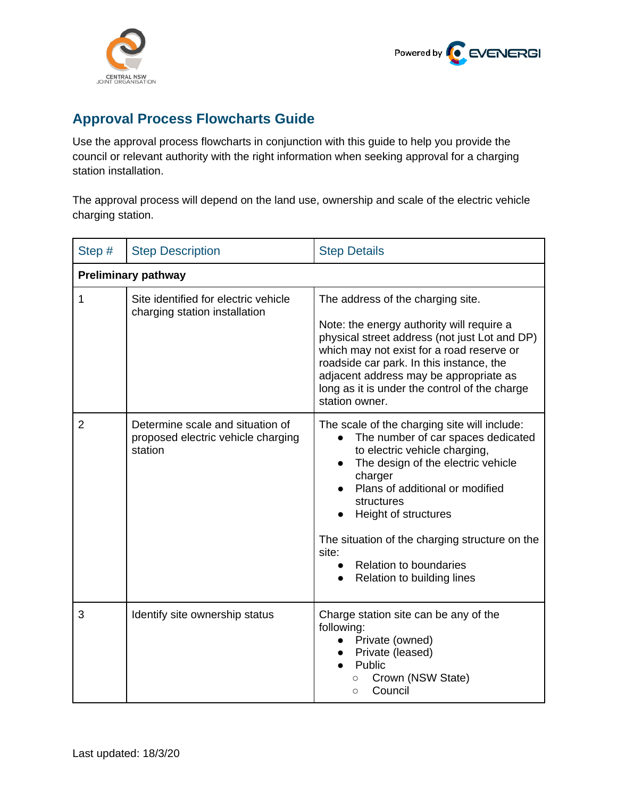



## **Approval Process Flowcharts Guide**

Use the approval process flowcharts in conjunction with this guide to help you provide the council or relevant authority with the right information when seeking approval for a charging station installation.

The approval process will depend on the land use, ownership and scale of the electric vehicle charging station.

| Step #                     | <b>Step Description</b>                                                           | <b>Step Details</b>                                                                                                                                                                                                                                                                                                                                                                  |  |
|----------------------------|-----------------------------------------------------------------------------------|--------------------------------------------------------------------------------------------------------------------------------------------------------------------------------------------------------------------------------------------------------------------------------------------------------------------------------------------------------------------------------------|--|
| <b>Preliminary pathway</b> |                                                                                   |                                                                                                                                                                                                                                                                                                                                                                                      |  |
| 1                          | Site identified for electric vehicle<br>charging station installation             | The address of the charging site.<br>Note: the energy authority will require a<br>physical street address (not just Lot and DP)<br>which may not exist for a road reserve or<br>roadside car park. In this instance, the<br>adjacent address may be appropriate as<br>long as it is under the control of the charge<br>station owner.                                                |  |
| $\overline{2}$             | Determine scale and situation of<br>proposed electric vehicle charging<br>station | The scale of the charging site will include:<br>The number of car spaces dedicated<br>to electric vehicle charging,<br>The design of the electric vehicle<br>$\bullet$<br>charger<br>Plans of additional or modified<br>structures<br>Height of structures<br>The situation of the charging structure on the<br>site:<br><b>Relation to boundaries</b><br>Relation to building lines |  |
| 3                          | Identify site ownership status                                                    | Charge station site can be any of the<br>following:<br>• Private (owned)<br>Private (leased)<br>Public<br>Crown (NSW State)<br>$\circ$<br>Council<br>$\circ$                                                                                                                                                                                                                         |  |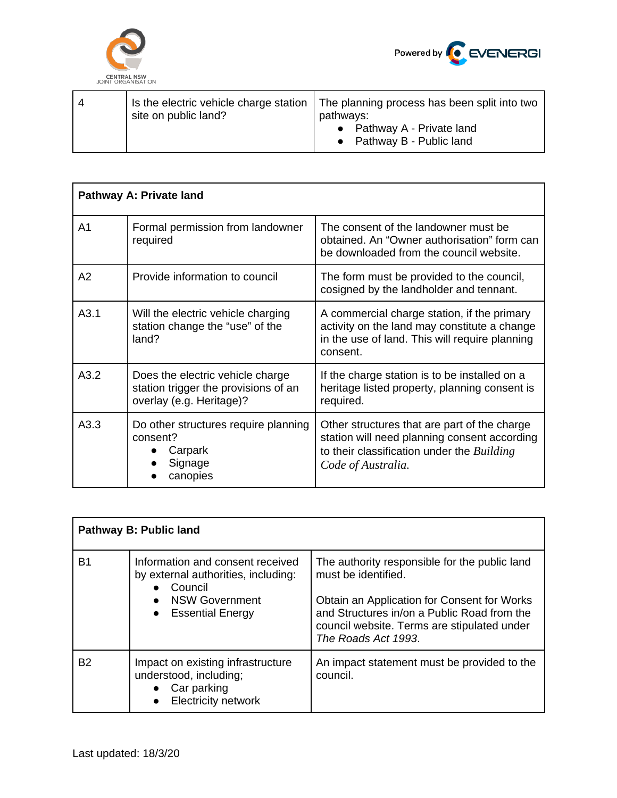



| Pathway A: Private land |                                                                                                      |                                                                                                                                                                  |  |
|-------------------------|------------------------------------------------------------------------------------------------------|------------------------------------------------------------------------------------------------------------------------------------------------------------------|--|
| A <sub>1</sub>          | Formal permission from landowner<br>required                                                         | The consent of the landowner must be<br>obtained. An "Owner authorisation" form can<br>be downloaded from the council website.                                   |  |
| A2                      | Provide information to council                                                                       | The form must be provided to the council,<br>cosigned by the landholder and tennant.                                                                             |  |
| A3.1                    | Will the electric vehicle charging<br>station change the "use" of the<br>land?                       | A commercial charge station, if the primary<br>activity on the land may constitute a change<br>in the use of land. This will require planning<br>consent.        |  |
| A3.2                    | Does the electric vehicle charge<br>station trigger the provisions of an<br>overlay (e.g. Heritage)? | If the charge station is to be installed on a<br>heritage listed property, planning consent is<br>required.                                                      |  |
| A3.3                    | Do other structures require planning<br>consent?<br>Carpark<br>Signage<br>canopies                   | Other structures that are part of the charge<br>station will need planning consent according<br>to their classification under the Building<br>Code of Australia. |  |

| Pathway B: Public land |                                                                                                                                     |                                                                                                                                                                                                                                          |  |
|------------------------|-------------------------------------------------------------------------------------------------------------------------------------|------------------------------------------------------------------------------------------------------------------------------------------------------------------------------------------------------------------------------------------|--|
| B1                     | Information and consent received<br>by external authorities, including:<br>• Council<br><b>NSW Government</b><br>• Essential Energy | The authority responsible for the public land<br>must be identified.<br>Obtain an Application for Consent for Works<br>and Structures in/on a Public Road from the<br>council website. Terms are stipulated under<br>The Roads Act 1993. |  |
| B <sub>2</sub>         | Impact on existing infrastructure<br>understood, including;<br>Car parking<br><b>Electricity network</b>                            | An impact statement must be provided to the<br>council.                                                                                                                                                                                  |  |